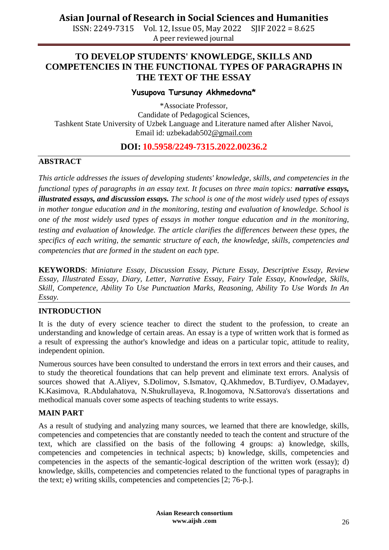**Asian Journal of Research in Social Sciences and Humanities**

ISSN: 2249-7315 Vol. 12, Issue 05, May 2022 SJIF 2022 = 8.625 A peer reviewed journal

### **TO DEVELOP STUDENTS' KNOWLEDGE, SKILLS AND COMPETENCIES IN THE FUNCTIONAL TYPES OF PARAGRAPHS IN THE TEXT OF THE ESSAY**

#### **Yusupova Tursunay Akhmedovna\***

\*Associate Professor, Candidate of Pedagogical Sciences, Tashkent State University of Uzbek Language and Literature named after Alisher Navoi, Email id: [uzbekadab502@gmail.com](mailto:uzbekadab502@gmail.com)

#### **DOI: 10.5958/2249-7315.2022.00236.2**

#### **ABSTRACT**

*This article addresses the issues of developing students' knowledge, skills, and competencies in the functional types of paragraphs in an essay text. It focuses on three main topics: <i>narrative essays, illustrated essays, and discussion essays. The school is one of the most widely used types of essays in mother tongue education and in the monitoring, testing and evaluation of knowledge. School is one of the most widely used types of essays in mother tongue education and in the monitoring, testing and evaluation of knowledge. The article clarifies the differences between these types, the specifics of each writing, the semantic structure of each, the knowledge, skills, competencies and competencies that are formed in the student on each type.*

**KEYWORDS**: *Miniature Essay, Discussion Essay, Picture Essay, Descriptive Essay, Review Essay, Illustrated Essay, Diary, Letter, Narrative Essay, Fairy Tale Essay, Knowledge, Skills, Skill, Competence, Ability To Use Punctuation Marks, Reasoning, Ability To Use Words In An Essay.*

#### **INTRODUCTION**

It is the duty of every science teacher to direct the student to the profession, to create an understanding and knowledge of certain areas. An essay is a type of written work that is formed as a result of expressing the author's knowledge and ideas on a particular topic, attitude to reality, independent opinion.

Numerous sources have been consulted to understand the errors in text errors and their causes, and to study the theoretical foundations that can help prevent and eliminate text errors. Analysis of sources showed that A.Aliyev, S.Dolimov, S.Ismatov, Q.Akhmedov, B.Turdiyev, O.Madayev, K.Kasimova, R.Abdulahatova, N.Shukrullayeva, R.Inogomova, N.Sattorova's dissertations and methodical manuals cover some aspects of teaching students to write essays.

#### **MAIN PART**

As a result of studying and analyzing many sources, we learned that there are knowledge, skills, competencies and competencies that are constantly needed to teach the content and structure of the text, which are classified on the basis of the following 4 groups: a) knowledge, skills, competencies and competencies in technical aspects; b) knowledge, skills, competencies and competencies in the aspects of the semantic-logical description of the written work (essay); d) knowledge, skills, competencies and competencies related to the functional types of paragraphs in the text; e) writing skills, competencies and competencies [2; 76-p.].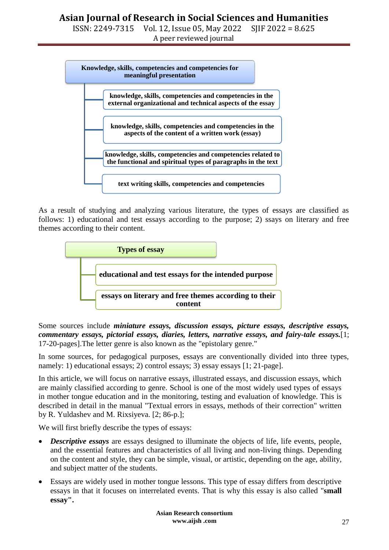ISSN: 2249-7315 Vol. 12, Issue 05, May 2022 SJIF 2022 = 8.625 A peer reviewed journal



As a result of studying and analyzing various literature, the types of essays are classified as follows: 1) educational and test essays according to the purpose; 2) ssays on literary and free themes according to their content.



Some sources include *miniature essays, discussion essays, picture essays, descriptive essays, commentary essays, pictorial essays, diaries, letters, narrative essays, and fairy-tale essays.*[1; 17-20-pages].The letter genre is also known as the "epistolary genre."

In some sources, for pedagogical purposes, essays are conventionally divided into three types, namely: 1) educational essays; 2) control essays; 3) essay essays [1; 21-page].

In this article, we will focus on narrative essays, illustrated essays, and discussion essays, which are mainly classified according to genre. School is one of the most widely used types of essays in mother tongue education and in the monitoring, testing and evaluation of knowledge. This is described in detail in the manual "Textual errors in essays, methods of their correction" written by R. Yuldashev and M. Rixsiyeva. [2; 86-p.];

We will first briefly describe the types of essays:

- *Descriptive essays* are essays designed to illuminate the objects of life, life events, people, and the essential features and characteristics of all living and non-living things. Depending on the content and style, they can be simple, visual, or artistic, depending on the age, ability, and subject matter of the students.
- Essays are widely used in mother tongue lessons. This type of essay differs from descriptive essays in that it focuses on interrelated events. That is why this essay is also called "**small essay".**

**Asian Research consortium www.aijsh .com**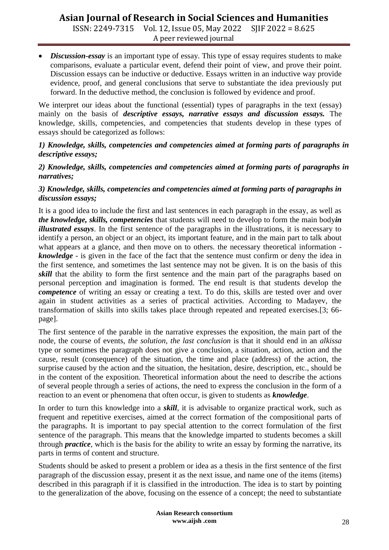## **Asian Journal of Research in Social Sciences and Humanities**

ISSN: 2249-7315 Vol. 12, Issue 05, May 2022 SJIF 2022 = 8.625 A peer reviewed journal

 *Discussion-essay* is an important type of essay. This type of essay requires students to make comparisons, evaluate a particular event, defend their point of view, and prove their point. Discussion essays can be inductive or deductive. Essays written in an inductive way provide evidence, proof, and general conclusions that serve to substantiate the idea previously put forward. In the deductive method, the conclusion is followed by evidence and proof.

We interpret our ideas about the functional (essential) types of paragraphs in the text (essay) mainly on the basis of *descriptive essays, narrative essays and discussion essays.* The knowledge, skills, competencies, and competencies that students develop in these types of essays should be categorized as follows:

#### *1) Knowledge, skills, competencies and competencies aimed at forming parts of paragraphs in descriptive essays;*

#### *2) Knowledge, skills, competencies and competencies aimed at forming parts of paragraphs in narratives;*

#### *3) Knowledge, skills, competencies and competencies aimed at forming parts of paragraphs in discussion essays;*

It is a good idea to include the first and last sentences in each paragraph in the essay, as well as *the knowledge, skills, competencies* that students will need to develop to form the main body*in illustrated essays*. In the first sentence of the paragraphs in the illustrations, it is necessary to identify a person, an object or an object, its important feature, and in the main part to talk about what appears at a glance, and then move on to others, the necessary theoretical information *knowledge* - is given in the face of the fact that the sentence must confirm or deny the idea in the first sentence, and sometimes the last sentence may not be given. It is on the basis of this *skill* that the ability to form the first sentence and the main part of the paragraphs based on personal perception and imagination is formed. The end result is that students develop the *competence* of writing an essay or creating a text. To do this, skills are tested over and over again in student activities as a series of practical activities. According to Madayev, the transformation of skills into skills takes place through repeated and repeated exercises.[3; 66 page].

The first sentence of the parable in the narrative expresses the exposition, the main part of the node, the course of events, *the solution, the last conclusion* is that it should end in an *alkissa* type or sometimes the paragraph does not give a conclusion, a situation, action, action and the cause, result (consequence) of the situation, the time and place (address) of the action, the surprise caused by the action and the situation, the hesitation, desire, description, etc., should be in the content of the exposition. Theoretical information about the need to describe the actions of several people through a series of actions, the need to express the conclusion in the form of a reaction to an event or phenomena that often occur, is given to students as *knowledge*.

In order to turn this knowledge into a *skill*, it is advisable to organize practical work, such as frequent and repetitive exercises, aimed at the correct formation of the compositional parts of the paragraphs. It is important to pay special attention to the correct formulation of the first sentence of the paragraph. This means that the knowledge imparted to students becomes a skill through *practice*, which is the basis for the ability to write an essay by forming the narrative, its parts in terms of content and structure.

Students should be asked to present a problem or idea as a thesis in the first sentence of the first paragraph of the discussion essay, present it as the next issue, and name one of the items (items) described in this paragraph if it is classified in the introduction. The idea is to start by pointing to the generalization of the above, focusing on the essence of a concept; the need to substantiate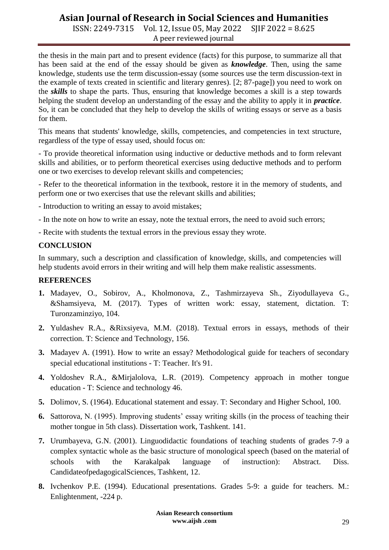## **Asian Journal of Research in Social Sciences and Humanities**

ISSN: 2249-7315 Vol. 12, Issue 05, May 2022 SJIF 2022 = 8.625 A peer reviewed journal

the thesis in the main part and to present evidence (facts) for this purpose, to summarize all that has been said at the end of the essay should be given as *knowledge*. Then, using the same knowledge, students use the term discussion-essay (some sources use the term discussion-text in the example of texts created in scientific and literary genres). [2; 87-page]) you need to work on the *skills* to shape the parts. Thus, ensuring that knowledge becomes a skill is a step towards helping the student develop an understanding of the essay and the ability to apply it in *practice*. So, it can be concluded that they help to develop the skills of writing essays or serve as a basis for them.

This means that students' knowledge, skills, competencies, and competencies in text structure, regardless of the type of essay used, should focus on:

- To provide theoretical information using inductive or deductive methods and to form relevant skills and abilities, or to perform theoretical exercises using deductive methods and to perform one or two exercises to develop relevant skills and competencies;

- Refer to the theoretical information in the textbook, restore it in the memory of students, and perform one or two exercises that use the relevant skills and abilities;

- Introduction to writing an essay to avoid mistakes;
- In the note on how to write an essay, note the textual errors, the need to avoid such errors;
- Recite with students the textual errors in the previous essay they wrote.

#### **CONCLUSION**

In summary, such a description and classification of knowledge, skills, and competencies will help students avoid errors in their writing and will help them make realistic assessments.

#### **REFERENCES**

- **1.** Madayev, O., Sobirov, A., Kholmonova, Z., Tashmirzayeva Sh., Ziyodullayeva G., &Shamsiyeva, M. (2017). Types of written work: essay, statement, dictation. T: Turonzaminziyo, 104.
- **2.** Yuldashev R.A., &Rixsiyeva, M.M. (2018). Textual errors in essays, methods of their correction. T: Science and Technology, 156.
- **3.** Madayev A. (1991). How to write an essay? Methodological guide for teachers of secondary special educational institutions - T: Teacher. It's 91.
- **4.** Yoldoshev R.A., &Mirjalolova, L.R. (2019). Competency approach in mother tongue education - T: Science and technology 46.
- **5.** Dolimov, S. (1964). Educational statement and essay. T: Secondary and Higher School, 100.
- **6.** Sattorova, N. (1995). Improving students' essay writing skills (in the process of teaching their mother tongue in 5th class). Dissertation work, Tashkent. 141.
- **7.** Urumbayeva, G.N. (2001). Linguodidactic foundations of teaching students of grades 7-9 a complex syntactic whole as the basic structure of monological speech (based on the material of schools with the Karakalpak language of instruction): Abstract. Diss. CandidateofpedagogicalSciences, Tashkent, 12.
- **8.** Ivchenkov P.E. (1994). Educational presentations. Grades 5-9: a guide for teachers. M.: Enlightenment, -224 p.